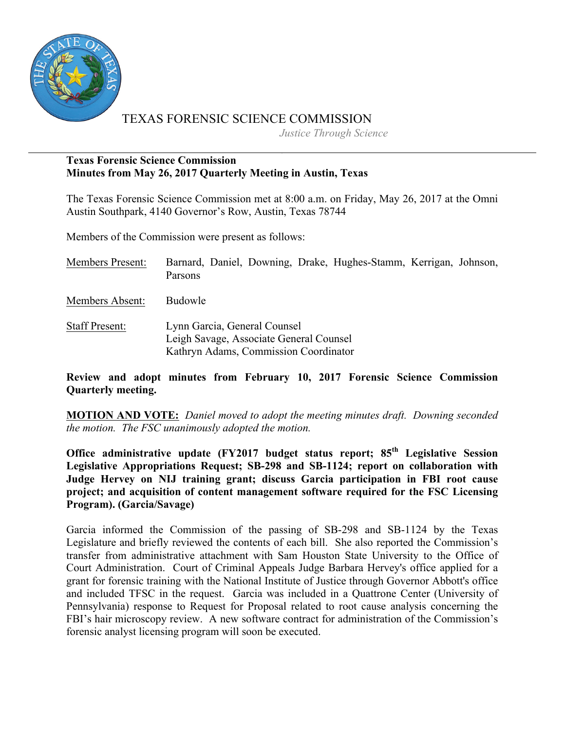

# TEXAS FORENSIC SCIENCE COMMISSION

*Justice Through Science*

# **Texas Forensic Science Commission Minutes from May 26, 2017 Quarterly Meeting in Austin, Texas**

The Texas Forensic Science Commission met at 8:00 a.m. on Friday, May 26, 2017 at the Omni Austin Southpark, 4140 Governor's Row, Austin, Texas 78744

Members of the Commission were present as follows:

| <b>Members Present:</b> |         |  | Barnard, Daniel, Downing, Drake, Hughes-Stamm, Kerrigan, Johnson, |  |
|-------------------------|---------|--|-------------------------------------------------------------------|--|
|                         | Parsons |  |                                                                   |  |

Members Absent: Budowle

Staff Present: Lynn Garcia, General Counsel Leigh Savage, Associate General Counsel Kathryn Adams, Commission Coordinator

**Review and adopt minutes from February 10, 2017 Forensic Science Commission Quarterly meeting.**

**MOTION AND VOTE:** *Daniel moved to adopt the meeting minutes draft. Downing seconded the motion. The FSC unanimously adopted the motion.*

**Office administrative update (FY2017 budget status report; 85th Legislative Session Legislative Appropriations Request; SB-298 and SB-1124; report on collaboration with Judge Hervey on NIJ training grant; discuss Garcia participation in FBI root cause project; and acquisition of content management software required for the FSC Licensing Program). (Garcia/Savage)** 

Garcia informed the Commission of the passing of SB-298 and SB-1124 by the Texas Legislature and briefly reviewed the contents of each bill. She also reported the Commission's transfer from administrative attachment with Sam Houston State University to the Office of Court Administration. Court of Criminal Appeals Judge Barbara Hervey's office applied for a grant for forensic training with the National Institute of Justice through Governor Abbott's office and included TFSC in the request. Garcia was included in a Quattrone Center (University of Pennsylvania) response to Request for Proposal related to root cause analysis concerning the FBI's hair microscopy review. A new software contract for administration of the Commission's forensic analyst licensing program will soon be executed.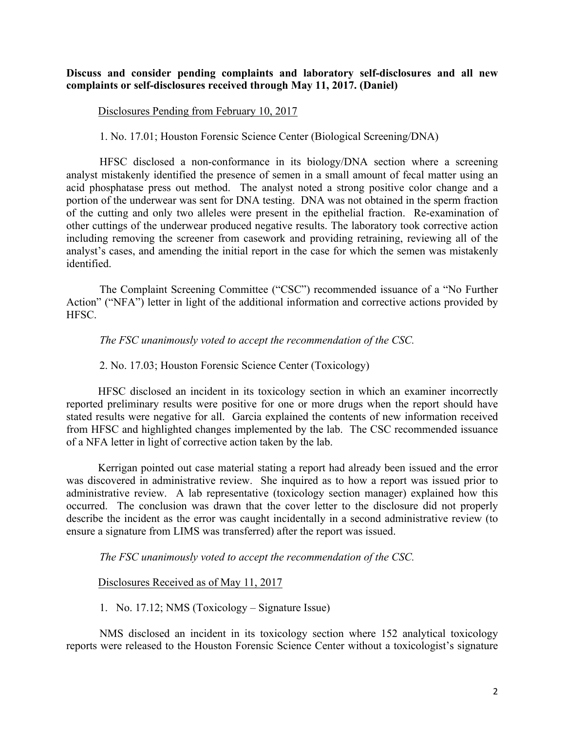#### **Discuss and consider pending complaints and laboratory self-disclosures and all new complaints or self-disclosures received through May 11, 2017. (Daniel)**

#### Disclosures Pending from February 10, 2017

1. No. 17.01; Houston Forensic Science Center (Biological Screening/DNA)

HFSC disclosed a non-conformance in its biology/DNA section where a screening analyst mistakenly identified the presence of semen in a small amount of fecal matter using an acid phosphatase press out method. The analyst noted a strong positive color change and a portion of the underwear was sent for DNA testing. DNA was not obtained in the sperm fraction of the cutting and only two alleles were present in the epithelial fraction. Re-examination of other cuttings of the underwear produced negative results. The laboratory took corrective action including removing the screener from casework and providing retraining, reviewing all of the analyst's cases, and amending the initial report in the case for which the semen was mistakenly identified.

The Complaint Screening Committee ("CSC") recommended issuance of a "No Further Action" ("NFA") letter in light of the additional information and corrective actions provided by HFSC.

#### *The FSC unanimously voted to accept the recommendation of the CSC.*

2. No. 17.03; Houston Forensic Science Center (Toxicology)

HFSC disclosed an incident in its toxicology section in which an examiner incorrectly reported preliminary results were positive for one or more drugs when the report should have stated results were negative for all. Garcia explained the contents of new information received from HFSC and highlighted changes implemented by the lab. The CSC recommended issuance of a NFA letter in light of corrective action taken by the lab.

Kerrigan pointed out case material stating a report had already been issued and the error was discovered in administrative review. She inquired as to how a report was issued prior to administrative review. A lab representative (toxicology section manager) explained how this occurred. The conclusion was drawn that the cover letter to the disclosure did not properly describe the incident as the error was caught incidentally in a second administrative review (to ensure a signature from LIMS was transferred) after the report was issued.

*The FSC unanimously voted to accept the recommendation of the CSC.*

#### Disclosures Received as of May 11, 2017

1. No. 17.12; NMS (Toxicology – Signature Issue)

NMS disclosed an incident in its toxicology section where 152 analytical toxicology reports were released to the Houston Forensic Science Center without a toxicologist's signature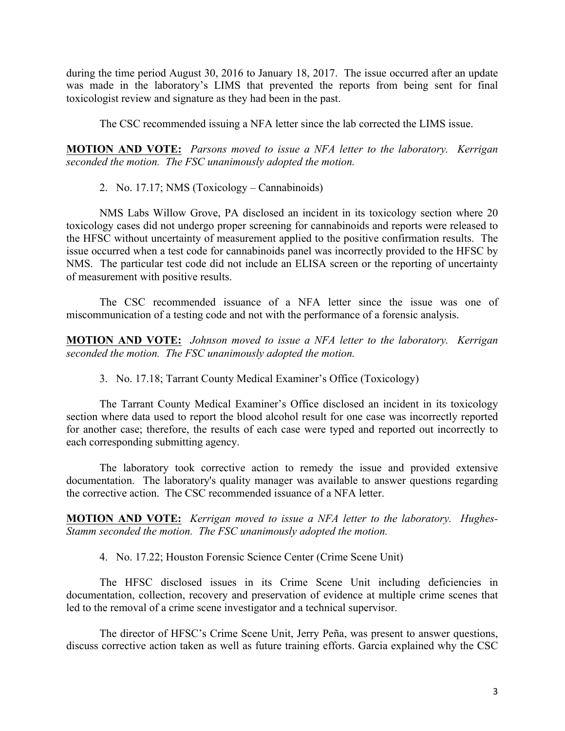during the time period August 30, 2016 to January 18, 2017. The issue occurred after an update was made in the laboratory's LIMS that prevented the reports from being sent for final toxicologist review and signature as they had been in the past.

The CSC recommended issuing a NFA letter since the lab corrected the LIMS issue.

**MOTION AND VOTE:** *Parsons moved to issue a NFA letter to the laboratory. Kerrigan seconded the motion. The FSC unanimously adopted the motion.*

2. No. 17.17; NMS (Toxicology – Cannabinoids)

NMS Labs Willow Grove, PA disclosed an incident in its toxicology section where 20 toxicology cases did not undergo proper screening for cannabinoids and reports were released to the HFSC without uncertainty of measurement applied to the positive confirmation results. The issue occurred when a test code for cannabinoids panel was incorrectly provided to the HFSC by NMS. The particular test code did not include an ELISA screen or the reporting of uncertainty of measurement with positive results.

The CSC recommended issuance of a NFA letter since the issue was one of miscommunication of a testing code and not with the performance of a forensic analysis.

**MOTION AND VOTE:** *Johnson moved to issue a NFA letter to the laboratory. Kerrigan seconded the motion. The FSC unanimously adopted the motion.*

3. No. 17.18; Tarrant County Medical Examiner's Office (Toxicology)

The Tarrant County Medical Examiner's Office disclosed an incident in its toxicology section where data used to report the blood alcohol result for one case was incorrectly reported for another case; therefore, the results of each case were typed and reported out incorrectly to each corresponding submitting agency.

The laboratory took corrective action to remedy the issue and provided extensive documentation. The laboratory's quality manager was available to answer questions regarding the corrective action. The CSC recommended issuance of a NFA letter.

**MOTION AND VOTE:** *Kerrigan moved to issue a NFA letter to the laboratory. Hughes-Stamm seconded the motion. The FSC unanimously adopted the motion.*

4. No. 17.22; Houston Forensic Science Center (Crime Scene Unit)

The HFSC disclosed issues in its Crime Scene Unit including deficiencies in documentation, collection, recovery and preservation of evidence at multiple crime scenes that led to the removal of a crime scene investigator and a technical supervisor.

The director of HFSC's Crime Scene Unit, Jerry Peña, was present to answer questions, discuss corrective action taken as well as future training efforts. Garcia explained why the CSC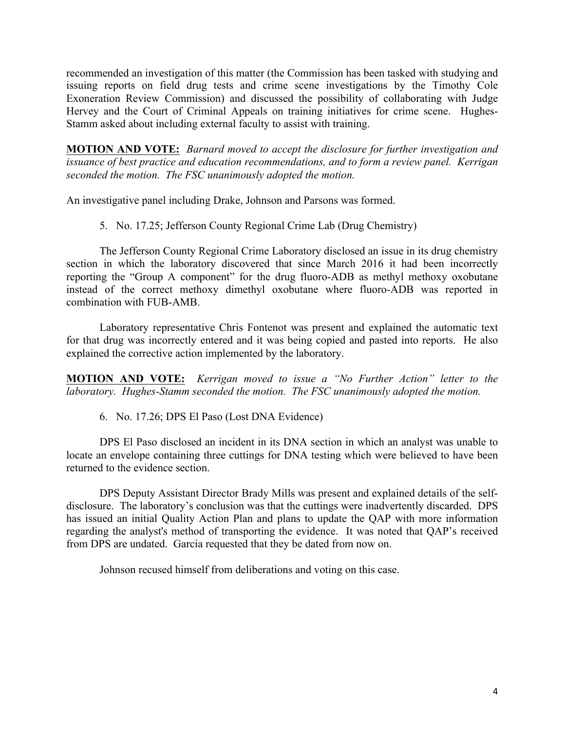recommended an investigation of this matter (the Commission has been tasked with studying and issuing reports on field drug tests and crime scene investigations by the Timothy Cole Exoneration Review Commission) and discussed the possibility of collaborating with Judge Hervey and the Court of Criminal Appeals on training initiatives for crime scene. Hughes-Stamm asked about including external faculty to assist with training.

**MOTION AND VOTE:** *Barnard moved to accept the disclosure for further investigation and issuance of best practice and education recommendations, and to form a review panel. Kerrigan seconded the motion. The FSC unanimously adopted the motion.*

An investigative panel including Drake, Johnson and Parsons was formed.

5. No. 17.25; Jefferson County Regional Crime Lab (Drug Chemistry)

The Jefferson County Regional Crime Laboratory disclosed an issue in its drug chemistry section in which the laboratory discovered that since March 2016 it had been incorrectly reporting the "Group A component" for the drug fluoro-ADB as methyl methoxy oxobutane instead of the correct methoxy dimethyl oxobutane where fluoro-ADB was reported in combination with FUB-AMB.

Laboratory representative Chris Fontenot was present and explained the automatic text for that drug was incorrectly entered and it was being copied and pasted into reports. He also explained the corrective action implemented by the laboratory.

**MOTION AND VOTE:** *Kerrigan moved to issue a "No Further Action" letter to the laboratory. Hughes-Stamm seconded the motion. The FSC unanimously adopted the motion.*

6. No. 17.26; DPS El Paso (Lost DNA Evidence)

DPS El Paso disclosed an incident in its DNA section in which an analyst was unable to locate an envelope containing three cuttings for DNA testing which were believed to have been returned to the evidence section.

DPS Deputy Assistant Director Brady Mills was present and explained details of the selfdisclosure. The laboratory's conclusion was that the cuttings were inadvertently discarded. DPS has issued an initial Quality Action Plan and plans to update the QAP with more information regarding the analyst's method of transporting the evidence. It was noted that QAP's received from DPS are undated. Garcia requested that they be dated from now on.

Johnson recused himself from deliberations and voting on this case.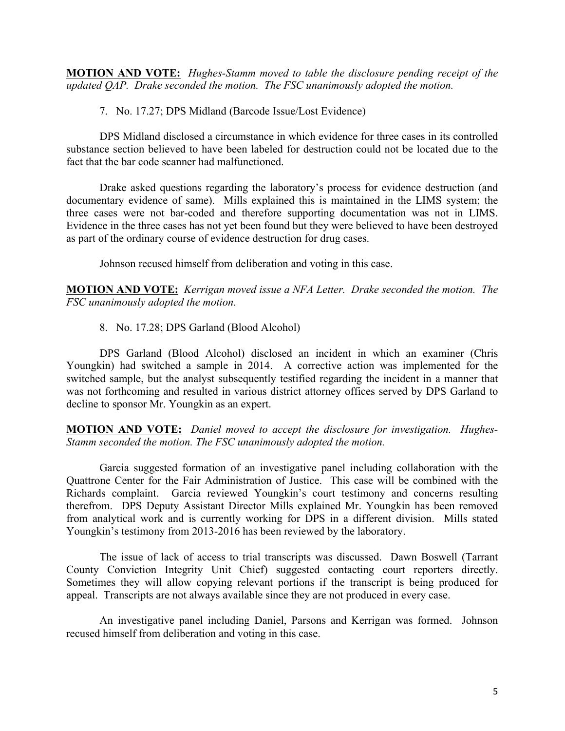**MOTION AND VOTE:** *Hughes-Stamm moved to table the disclosure pending receipt of the updated QAP. Drake seconded the motion. The FSC unanimously adopted the motion.*

7. No. 17.27; DPS Midland (Barcode Issue/Lost Evidence)

DPS Midland disclosed a circumstance in which evidence for three cases in its controlled substance section believed to have been labeled for destruction could not be located due to the fact that the bar code scanner had malfunctioned.

Drake asked questions regarding the laboratory's process for evidence destruction (and documentary evidence of same). Mills explained this is maintained in the LIMS system; the three cases were not bar-coded and therefore supporting documentation was not in LIMS. Evidence in the three cases has not yet been found but they were believed to have been destroyed as part of the ordinary course of evidence destruction for drug cases.

Johnson recused himself from deliberation and voting in this case.

**MOTION AND VOTE:** *Kerrigan moved issue a NFA Letter. Drake seconded the motion. The FSC unanimously adopted the motion.*

8. No. 17.28; DPS Garland (Blood Alcohol)

DPS Garland (Blood Alcohol) disclosed an incident in which an examiner (Chris Youngkin) had switched a sample in 2014. A corrective action was implemented for the switched sample, but the analyst subsequently testified regarding the incident in a manner that was not forthcoming and resulted in various district attorney offices served by DPS Garland to decline to sponsor Mr. Youngkin as an expert.

**MOTION AND VOTE:** *Daniel moved to accept the disclosure for investigation. Hughes-Stamm seconded the motion. The FSC unanimously adopted the motion.*

Garcia suggested formation of an investigative panel including collaboration with the Quattrone Center for the Fair Administration of Justice. This case will be combined with the Richards complaint. Garcia reviewed Youngkin's court testimony and concerns resulting therefrom. DPS Deputy Assistant Director Mills explained Mr. Youngkin has been removed from analytical work and is currently working for DPS in a different division. Mills stated Youngkin's testimony from 2013-2016 has been reviewed by the laboratory.

The issue of lack of access to trial transcripts was discussed. Dawn Boswell (Tarrant County Conviction Integrity Unit Chief) suggested contacting court reporters directly. Sometimes they will allow copying relevant portions if the transcript is being produced for appeal. Transcripts are not always available since they are not produced in every case.

An investigative panel including Daniel, Parsons and Kerrigan was formed. Johnson recused himself from deliberation and voting in this case.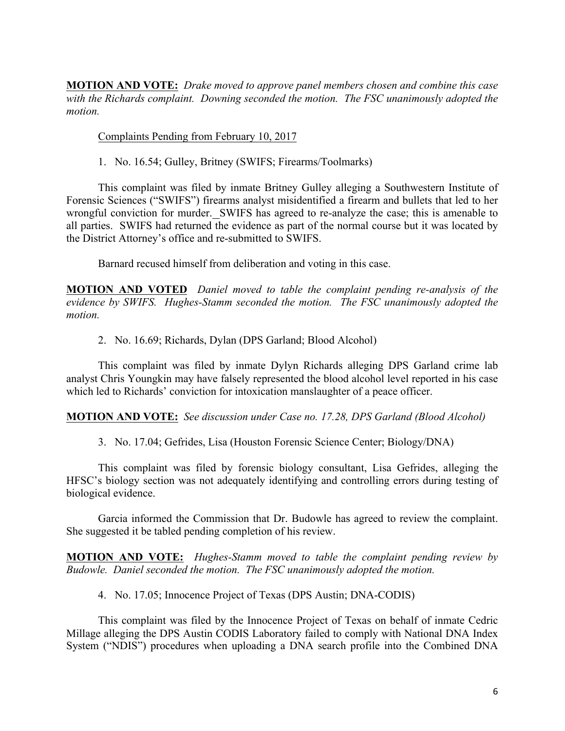**MOTION AND VOTE:** *Drake moved to approve panel members chosen and combine this case with the Richards complaint. Downing seconded the motion. The FSC unanimously adopted the motion.*

Complaints Pending from February 10, 2017

1. No. 16.54; Gulley, Britney (SWIFS; Firearms/Toolmarks)

This complaint was filed by inmate Britney Gulley alleging a Southwestern Institute of Forensic Sciences ("SWIFS") firearms analyst misidentified a firearm and bullets that led to her wrongful conviction for murder. SWIFS has agreed to re-analyze the case; this is amenable to all parties. SWIFS had returned the evidence as part of the normal course but it was located by the District Attorney's office and re-submitted to SWIFS.

Barnard recused himself from deliberation and voting in this case.

**MOTION AND VOTED** *Daniel moved to table the complaint pending re-analysis of the evidence by SWIFS. Hughes-Stamm seconded the motion. The FSC unanimously adopted the motion.*

2. No. 16.69; Richards, Dylan (DPS Garland; Blood Alcohol)

This complaint was filed by inmate Dylyn Richards alleging DPS Garland crime lab analyst Chris Youngkin may have falsely represented the blood alcohol level reported in his case which led to Richards' conviction for intoxication manslaughter of a peace officer.

**MOTION AND VOTE:** *See discussion under Case no. 17.28, DPS Garland (Blood Alcohol)*

3. No. 17.04; Gefrides, Lisa (Houston Forensic Science Center; Biology/DNA)

This complaint was filed by forensic biology consultant, Lisa Gefrides, alleging the HFSC's biology section was not adequately identifying and controlling errors during testing of biological evidence.

Garcia informed the Commission that Dr. Budowle has agreed to review the complaint. She suggested it be tabled pending completion of his review.

**MOTION AND VOTE:** *Hughes-Stamm moved to table the complaint pending review by Budowle. Daniel seconded the motion. The FSC unanimously adopted the motion.*

4. No. 17.05; Innocence Project of Texas (DPS Austin; DNA-CODIS)

This complaint was filed by the Innocence Project of Texas on behalf of inmate Cedric Millage alleging the DPS Austin CODIS Laboratory failed to comply with National DNA Index System ("NDIS") procedures when uploading a DNA search profile into the Combined DNA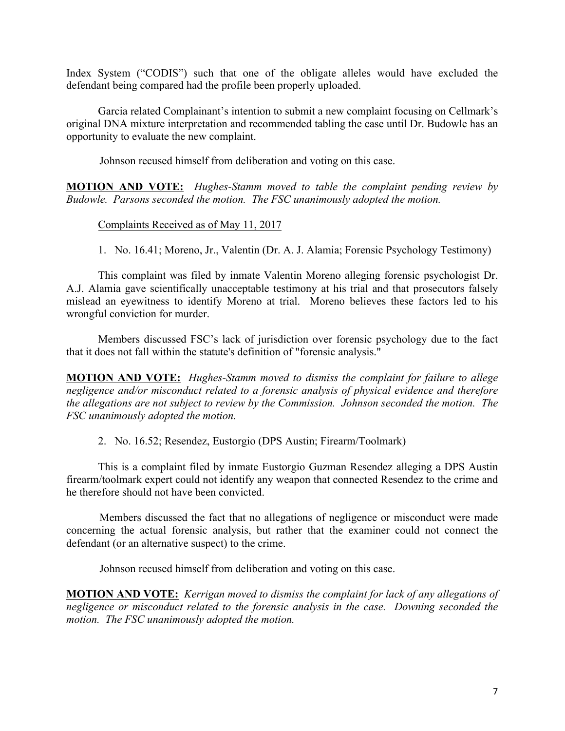Index System ("CODIS") such that one of the obligate alleles would have excluded the defendant being compared had the profile been properly uploaded.

Garcia related Complainant's intention to submit a new complaint focusing on Cellmark's original DNA mixture interpretation and recommended tabling the case until Dr. Budowle has an opportunity to evaluate the new complaint.

Johnson recused himself from deliberation and voting on this case.

**MOTION AND VOTE:** *Hughes-Stamm moved to table the complaint pending review by Budowle. Parsons seconded the motion. The FSC unanimously adopted the motion.*

Complaints Received as of May 11, 2017

1. No. 16.41; Moreno, Jr., Valentin (Dr. A. J. Alamia; Forensic Psychology Testimony)

This complaint was filed by inmate Valentin Moreno alleging forensic psychologist Dr. A.J. Alamia gave scientifically unacceptable testimony at his trial and that prosecutors falsely mislead an eyewitness to identify Moreno at trial. Moreno believes these factors led to his wrongful conviction for murder.

Members discussed FSC's lack of jurisdiction over forensic psychology due to the fact that it does not fall within the statute's definition of "forensic analysis."

**MOTION AND VOTE:** *Hughes-Stamm moved to dismiss the complaint for failure to allege negligence and/or misconduct related to a forensic analysis of physical evidence and therefore the allegations are not subject to review by the Commission. Johnson seconded the motion. The FSC unanimously adopted the motion.*

2. No. 16.52; Resendez, Eustorgio (DPS Austin; Firearm/Toolmark)

This is a complaint filed by inmate Eustorgio Guzman Resendez alleging a DPS Austin firearm/toolmark expert could not identify any weapon that connected Resendez to the crime and he therefore should not have been convicted.

Members discussed the fact that no allegations of negligence or misconduct were made concerning the actual forensic analysis, but rather that the examiner could not connect the defendant (or an alternative suspect) to the crime.

Johnson recused himself from deliberation and voting on this case.

**MOTION AND VOTE:** *Kerrigan moved to dismiss the complaint for lack of any allegations of negligence or misconduct related to the forensic analysis in the case. Downing seconded the motion. The FSC unanimously adopted the motion.*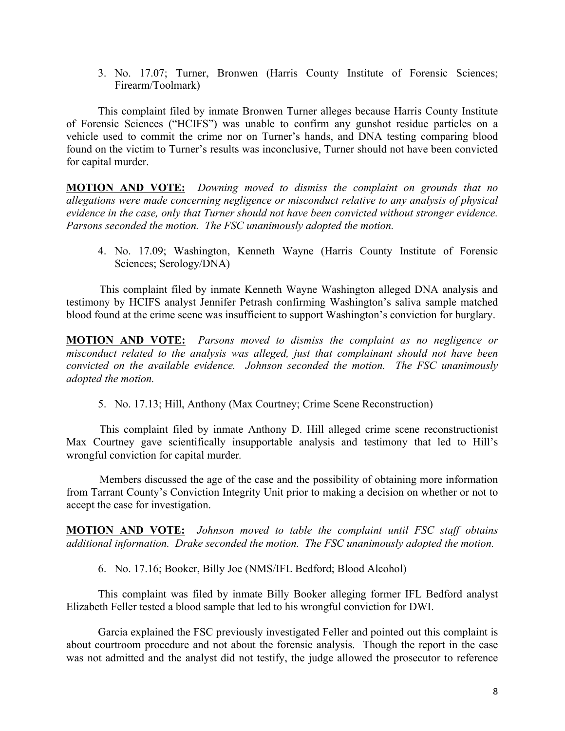3. No. 17.07; Turner, Bronwen (Harris County Institute of Forensic Sciences; Firearm/Toolmark)

This complaint filed by inmate Bronwen Turner alleges because Harris County Institute of Forensic Sciences ("HCIFS") was unable to confirm any gunshot residue particles on a vehicle used to commit the crime nor on Turner's hands, and DNA testing comparing blood found on the victim to Turner's results was inconclusive, Turner should not have been convicted for capital murder.

**MOTION AND VOTE:** *Downing moved to dismiss the complaint on grounds that no allegations were made concerning negligence or misconduct relative to any analysis of physical evidence in the case, only that Turner should not have been convicted without stronger evidence. Parsons seconded the motion. The FSC unanimously adopted the motion.*

4. No. 17.09; Washington, Kenneth Wayne (Harris County Institute of Forensic Sciences; Serology/DNA)

This complaint filed by inmate Kenneth Wayne Washington alleged DNA analysis and testimony by HCIFS analyst Jennifer Petrash confirming Washington's saliva sample matched blood found at the crime scene was insufficient to support Washington's conviction for burglary.

**MOTION AND VOTE:** *Parsons moved to dismiss the complaint as no negligence or misconduct related to the analysis was alleged, just that complainant should not have been convicted on the available evidence. Johnson seconded the motion. The FSC unanimously adopted the motion.*

5. No. 17.13; Hill, Anthony (Max Courtney; Crime Scene Reconstruction)

This complaint filed by inmate Anthony D. Hill alleged crime scene reconstructionist Max Courtney gave scientifically insupportable analysis and testimony that led to Hill's wrongful conviction for capital murder*.*

Members discussed the age of the case and the possibility of obtaining more information from Tarrant County's Conviction Integrity Unit prior to making a decision on whether or not to accept the case for investigation.

**MOTION AND VOTE:** *Johnson moved to table the complaint until FSC staff obtains additional information. Drake seconded the motion. The FSC unanimously adopted the motion.*

6. No. 17.16; Booker, Billy Joe (NMS/IFL Bedford; Blood Alcohol)

This complaint was filed by inmate Billy Booker alleging former IFL Bedford analyst Elizabeth Feller tested a blood sample that led to his wrongful conviction for DWI.

Garcia explained the FSC previously investigated Feller and pointed out this complaint is about courtroom procedure and not about the forensic analysis. Though the report in the case was not admitted and the analyst did not testify, the judge allowed the prosecutor to reference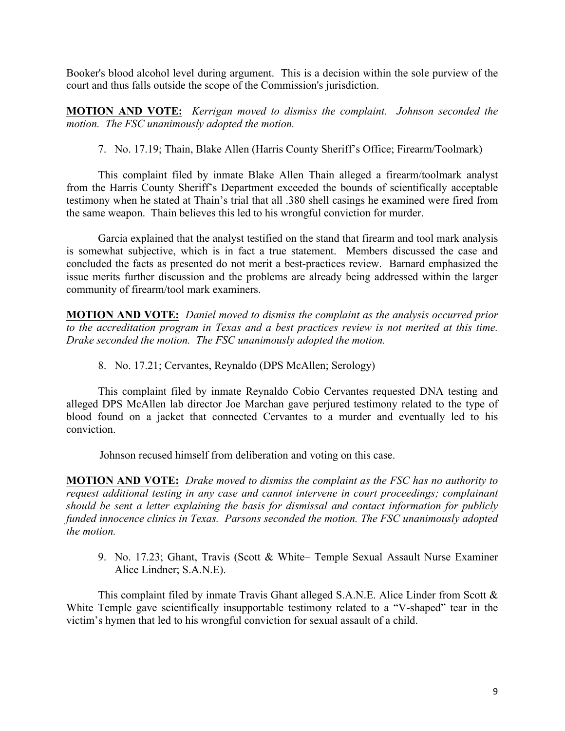Booker's blood alcohol level during argument. This is a decision within the sole purview of the court and thus falls outside the scope of the Commission's jurisdiction.

**MOTION AND VOTE:** *Kerrigan moved to dismiss the complaint. Johnson seconded the motion. The FSC unanimously adopted the motion.*

7. No. 17.19; Thain, Blake Allen (Harris County Sheriff's Office; Firearm/Toolmark)

This complaint filed by inmate Blake Allen Thain alleged a firearm/toolmark analyst from the Harris County Sheriff's Department exceeded the bounds of scientifically acceptable testimony when he stated at Thain's trial that all .380 shell casings he examined were fired from the same weapon. Thain believes this led to his wrongful conviction for murder.

Garcia explained that the analyst testified on the stand that firearm and tool mark analysis is somewhat subjective, which is in fact a true statement. Members discussed the case and concluded the facts as presented do not merit a best-practices review. Barnard emphasized the issue merits further discussion and the problems are already being addressed within the larger community of firearm/tool mark examiners.

**MOTION AND VOTE:** *Daniel moved to dismiss the complaint as the analysis occurred prior to the accreditation program in Texas and a best practices review is not merited at this time. Drake seconded the motion. The FSC unanimously adopted the motion.*

8. No. 17.21; Cervantes, Reynaldo (DPS McAllen; Serology)

This complaint filed by inmate Reynaldo Cobio Cervantes requested DNA testing and alleged DPS McAllen lab director Joe Marchan gave perjured testimony related to the type of blood found on a jacket that connected Cervantes to a murder and eventually led to his conviction.

Johnson recused himself from deliberation and voting on this case.

**MOTION AND VOTE:** *Drake moved to dismiss the complaint as the FSC has no authority to request additional testing in any case and cannot intervene in court proceedings; complainant should be sent a letter explaining the basis for dismissal and contact information for publicly funded innocence clinics in Texas. Parsons seconded the motion. The FSC unanimously adopted the motion.*

9. No. 17.23; Ghant, Travis (Scott & White– Temple Sexual Assault Nurse Examiner Alice Lindner; S.A.N.E).

This complaint filed by inmate Travis Ghant alleged S.A.N.E. Alice Linder from Scott & White Temple gave scientifically insupportable testimony related to a "V-shaped" tear in the victim's hymen that led to his wrongful conviction for sexual assault of a child.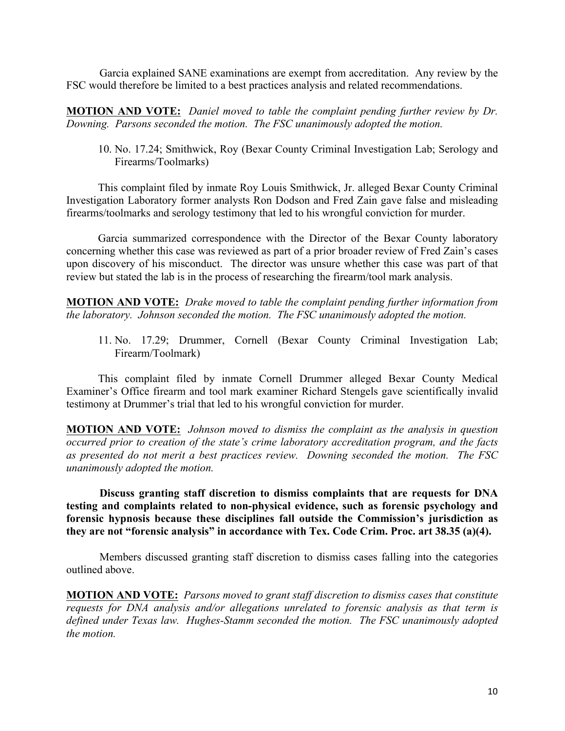Garcia explained SANE examinations are exempt from accreditation. Any review by the FSC would therefore be limited to a best practices analysis and related recommendations.

**MOTION AND VOTE:** *Daniel moved to table the complaint pending further review by Dr. Downing. Parsons seconded the motion. The FSC unanimously adopted the motion.*

10. No. 17.24; Smithwick, Roy (Bexar County Criminal Investigation Lab; Serology and Firearms/Toolmarks)

This complaint filed by inmate Roy Louis Smithwick, Jr. alleged Bexar County Criminal Investigation Laboratory former analysts Ron Dodson and Fred Zain gave false and misleading firearms/toolmarks and serology testimony that led to his wrongful conviction for murder.

Garcia summarized correspondence with the Director of the Bexar County laboratory concerning whether this case was reviewed as part of a prior broader review of Fred Zain's cases upon discovery of his misconduct. The director was unsure whether this case was part of that review but stated the lab is in the process of researching the firearm/tool mark analysis.

**MOTION AND VOTE:** *Drake moved to table the complaint pending further information from the laboratory. Johnson seconded the motion. The FSC unanimously adopted the motion.*

11. No. 17.29; Drummer, Cornell (Bexar County Criminal Investigation Lab; Firearm/Toolmark)

This complaint filed by inmate Cornell Drummer alleged Bexar County Medical Examiner's Office firearm and tool mark examiner Richard Stengels gave scientifically invalid testimony at Drummer's trial that led to his wrongful conviction for murder.

**MOTION AND VOTE:** *Johnson moved to dismiss the complaint as the analysis in question occurred prior to creation of the state's crime laboratory accreditation program, and the facts as presented do not merit a best practices review. Downing seconded the motion. The FSC unanimously adopted the motion.*

**Discuss granting staff discretion to dismiss complaints that are requests for DNA testing and complaints related to non-physical evidence, such as forensic psychology and forensic hypnosis because these disciplines fall outside the Commission's jurisdiction as they are not "forensic analysis" in accordance with Tex. Code Crim. Proc. art 38.35 (a)(4).** 

Members discussed granting staff discretion to dismiss cases falling into the categories outlined above.

**MOTION AND VOTE:** *Parsons moved to grant staff discretion to dismiss cases that constitute requests for DNA analysis and/or allegations unrelated to forensic analysis as that term is defined under Texas law. Hughes-Stamm seconded the motion. The FSC unanimously adopted the motion.*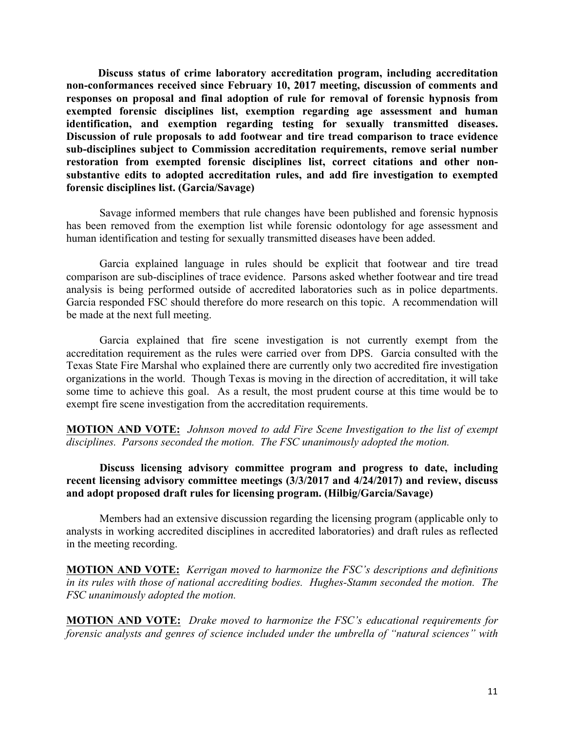**Discuss status of crime laboratory accreditation program, including accreditation non-conformances received since February 10, 2017 meeting, discussion of comments and responses on proposal and final adoption of rule for removal of forensic hypnosis from exempted forensic disciplines list, exemption regarding age assessment and human identification, and exemption regarding testing for sexually transmitted diseases. Discussion of rule proposals to add footwear and tire tread comparison to trace evidence sub-disciplines subject to Commission accreditation requirements, remove serial number restoration from exempted forensic disciplines list, correct citations and other nonsubstantive edits to adopted accreditation rules, and add fire investigation to exempted forensic disciplines list. (Garcia/Savage)**

Savage informed members that rule changes have been published and forensic hypnosis has been removed from the exemption list while forensic odontology for age assessment and human identification and testing for sexually transmitted diseases have been added.

Garcia explained language in rules should be explicit that footwear and tire tread comparison are sub-disciplines of trace evidence. Parsons asked whether footwear and tire tread analysis is being performed outside of accredited laboratories such as in police departments. Garcia responded FSC should therefore do more research on this topic. A recommendation will be made at the next full meeting.

Garcia explained that fire scene investigation is not currently exempt from the accreditation requirement as the rules were carried over from DPS. Garcia consulted with the Texas State Fire Marshal who explained there are currently only two accredited fire investigation organizations in the world. Though Texas is moving in the direction of accreditation, it will take some time to achieve this goal. As a result, the most prudent course at this time would be to exempt fire scene investigation from the accreditation requirements.

**MOTION AND VOTE:** *Johnson moved to add Fire Scene Investigation to the list of exempt disciplines. Parsons seconded the motion. The FSC unanimously adopted the motion.*

# **Discuss licensing advisory committee program and progress to date, including recent licensing advisory committee meetings (3/3/2017 and 4/24/2017) and review, discuss and adopt proposed draft rules for licensing program. (Hilbig/Garcia/Savage)**

Members had an extensive discussion regarding the licensing program (applicable only to analysts in working accredited disciplines in accredited laboratories) and draft rules as reflected in the meeting recording.

**MOTION AND VOTE:** *Kerrigan moved to harmonize the FSC's descriptions and definitions in its rules with those of national accrediting bodies. Hughes-Stamm seconded the motion. The FSC unanimously adopted the motion.*

**MOTION AND VOTE:** *Drake moved to harmonize the FSC's educational requirements for forensic analysts and genres of science included under the umbrella of "natural sciences" with*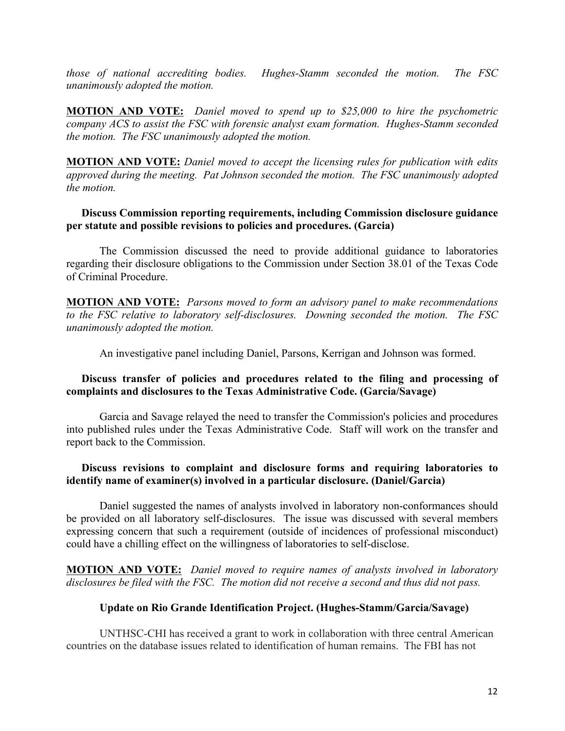*those of national accrediting bodies. Hughes-Stamm seconded the motion. The FSC unanimously adopted the motion.*

**MOTION AND VOTE:** *Daniel moved to spend up to \$25,000 to hire the psychometric company ACS to assist the FSC with forensic analyst exam formation. Hughes-Stamm seconded the motion. The FSC unanimously adopted the motion.*

**MOTION AND VOTE:** *Daniel moved to accept the licensing rules for publication with edits approved during the meeting. Pat Johnson seconded the motion. The FSC unanimously adopted the motion.* 

# **Discuss Commission reporting requirements, including Commission disclosure guidance per statute and possible revisions to policies and procedures. (Garcia)**

The Commission discussed the need to provide additional guidance to laboratories regarding their disclosure obligations to the Commission under Section 38.01 of the Texas Code of Criminal Procedure.

**MOTION AND VOTE:** *Parsons moved to form an advisory panel to make recommendations to the FSC relative to laboratory self-disclosures. Downing seconded the motion. The FSC unanimously adopted the motion.*

An investigative panel including Daniel, Parsons, Kerrigan and Johnson was formed.

# **Discuss transfer of policies and procedures related to the filing and processing of complaints and disclosures to the Texas Administrative Code. (Garcia/Savage)**

Garcia and Savage relayed the need to transfer the Commission's policies and procedures into published rules under the Texas Administrative Code. Staff will work on the transfer and report back to the Commission.

## **Discuss revisions to complaint and disclosure forms and requiring laboratories to identify name of examiner(s) involved in a particular disclosure. (Daniel/Garcia)**

Daniel suggested the names of analysts involved in laboratory non-conformances should be provided on all laboratory self-disclosures. The issue was discussed with several members expressing concern that such a requirement (outside of incidences of professional misconduct) could have a chilling effect on the willingness of laboratories to self-disclose.

**MOTION AND VOTE:** *Daniel moved to require names of analysts involved in laboratory disclosures be filed with the FSC. The motion did not receive a second and thus did not pass.*

### **Update on Rio Grande Identification Project. (Hughes-Stamm/Garcia/Savage)**

UNTHSC-CHI has received a grant to work in collaboration with three central American countries on the database issues related to identification of human remains. The FBI has not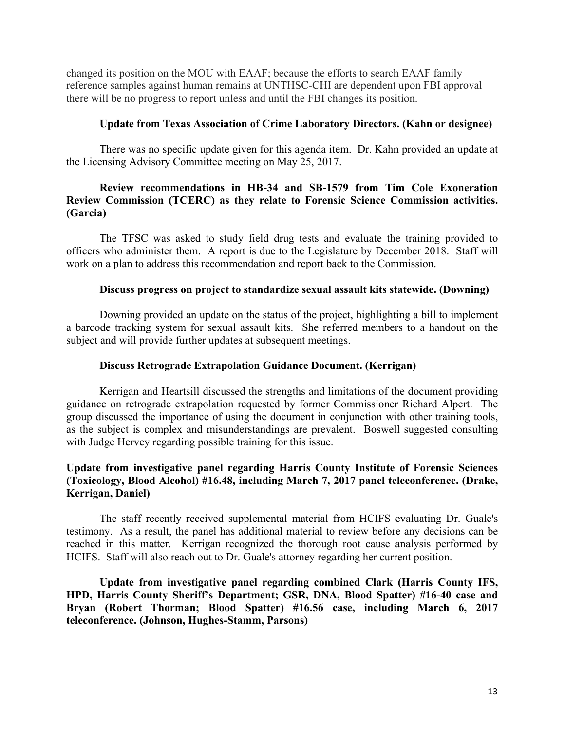changed its position on the MOU with EAAF; because the efforts to search EAAF family reference samples against human remains at UNTHSC-CHI are dependent upon FBI approval there will be no progress to report unless and until the FBI changes its position.

#### **Update from Texas Association of Crime Laboratory Directors. (Kahn or designee)**

There was no specific update given for this agenda item. Dr. Kahn provided an update at the Licensing Advisory Committee meeting on May 25, 2017.

# **Review recommendations in HB-34 and SB-1579 from Tim Cole Exoneration Review Commission (TCERC) as they relate to Forensic Science Commission activities. (Garcia)**

The TFSC was asked to study field drug tests and evaluate the training provided to officers who administer them. A report is due to the Legislature by December 2018. Staff will work on a plan to address this recommendation and report back to the Commission.

### **Discuss progress on project to standardize sexual assault kits statewide. (Downing)**

Downing provided an update on the status of the project, highlighting a bill to implement a barcode tracking system for sexual assault kits. She referred members to a handout on the subject and will provide further updates at subsequent meetings.

#### **Discuss Retrograde Extrapolation Guidance Document. (Kerrigan)**

Kerrigan and Heartsill discussed the strengths and limitations of the document providing guidance on retrograde extrapolation requested by former Commissioner Richard Alpert. The group discussed the importance of using the document in conjunction with other training tools, as the subject is complex and misunderstandings are prevalent. Boswell suggested consulting with Judge Hervey regarding possible training for this issue.

# **Update from investigative panel regarding Harris County Institute of Forensic Sciences (Toxicology, Blood Alcohol) #16.48, including March 7, 2017 panel teleconference. (Drake, Kerrigan, Daniel)**

The staff recently received supplemental material from HCIFS evaluating Dr. Guale's testimony. As a result, the panel has additional material to review before any decisions can be reached in this matter. Kerrigan recognized the thorough root cause analysis performed by HCIFS. Staff will also reach out to Dr. Guale's attorney regarding her current position.

**Update from investigative panel regarding combined Clark (Harris County IFS, HPD, Harris County Sheriff's Department; GSR, DNA, Blood Spatter) #16-40 case and Bryan (Robert Thorman; Blood Spatter) #16.56 case, including March 6, 2017 teleconference. (Johnson, Hughes-Stamm, Parsons)**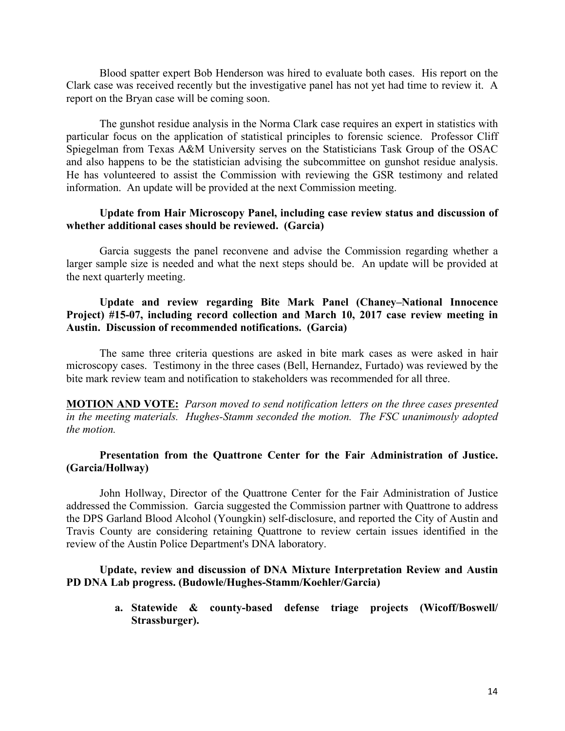Blood spatter expert Bob Henderson was hired to evaluate both cases. His report on the Clark case was received recently but the investigative panel has not yet had time to review it. A report on the Bryan case will be coming soon.

The gunshot residue analysis in the Norma Clark case requires an expert in statistics with particular focus on the application of statistical principles to forensic science. Professor Cliff Spiegelman from Texas A&M University serves on the Statisticians Task Group of the OSAC and also happens to be the statistician advising the subcommittee on gunshot residue analysis. He has volunteered to assist the Commission with reviewing the GSR testimony and related information. An update will be provided at the next Commission meeting.

### **Update from Hair Microscopy Panel, including case review status and discussion of whether additional cases should be reviewed. (Garcia)**

Garcia suggests the panel reconvene and advise the Commission regarding whether a larger sample size is needed and what the next steps should be. An update will be provided at the next quarterly meeting.

# **Update and review regarding Bite Mark Panel (Chaney–National Innocence Project) #15-07, including record collection and March 10, 2017 case review meeting in Austin. Discussion of recommended notifications. (Garcia)**

The same three criteria questions are asked in bite mark cases as were asked in hair microscopy cases. Testimony in the three cases (Bell, Hernandez, Furtado) was reviewed by the bite mark review team and notification to stakeholders was recommended for all three.

**MOTION AND VOTE:** *Parson moved to send notification letters on the three cases presented in the meeting materials. Hughes-Stamm seconded the motion. The FSC unanimously adopted the motion.*

### **Presentation from the Quattrone Center for the Fair Administration of Justice. (Garcia/Hollway)**

John Hollway, Director of the Quattrone Center for the Fair Administration of Justice addressed the Commission. Garcia suggested the Commission partner with Quattrone to address the DPS Garland Blood Alcohol (Youngkin) self-disclosure, and reported the City of Austin and Travis County are considering retaining Quattrone to review certain issues identified in the review of the Austin Police Department's DNA laboratory.

# **Update, review and discussion of DNA Mixture Interpretation Review and Austin PD DNA Lab progress. (Budowle/Hughes-Stamm/Koehler/Garcia)**

**a. Statewide & county-based defense triage projects (Wicoff/Boswell/ Strassburger).**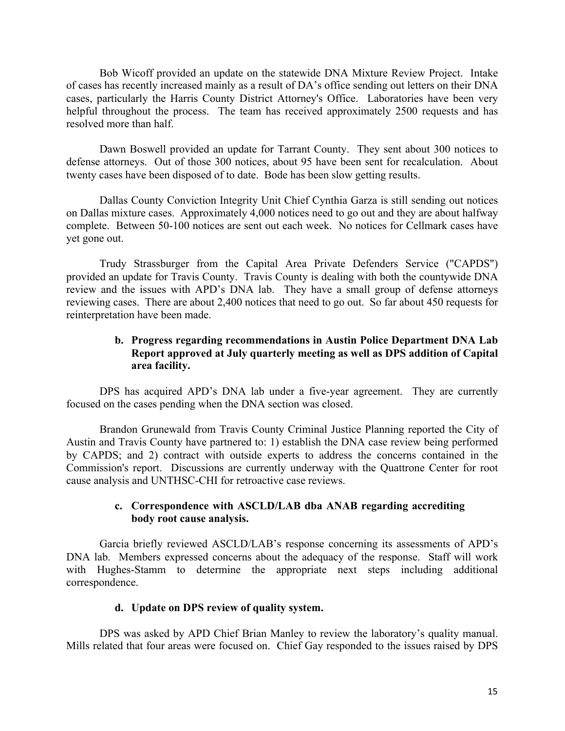Bob Wicoff provided an update on the statewide DNA Mixture Review Project. Intake of cases has recently increased mainly as a result of DA's office sending out letters on their DNA cases, particularly the Harris County District Attorney's Office. Laboratories have been very helpful throughout the process. The team has received approximately 2500 requests and has resolved more than half.

Dawn Boswell provided an update for Tarrant County. They sent about 300 notices to defense attorneys. Out of those 300 notices, about 95 have been sent for recalculation. About twenty cases have been disposed of to date. Bode has been slow getting results.

Dallas County Conviction Integrity Unit Chief Cynthia Garza is still sending out notices on Dallas mixture cases. Approximately 4,000 notices need to go out and they are about halfway complete. Between 50-100 notices are sent out each week. No notices for Cellmark cases have yet gone out.

Trudy Strassburger from the Capital Area Private Defenders Service ("CAPDS") provided an update for Travis County. Travis County is dealing with both the countywide DNA review and the issues with APD's DNA lab. They have a small group of defense attorneys reviewing cases. There are about 2,400 notices that need to go out. So far about 450 requests for reinterpretation have been made.

# **b. Progress regarding recommendations in Austin Police Department DNA Lab Report approved at July quarterly meeting as well as DPS addition of Capital area facility.**

DPS has acquired APD's DNA lab under a five-year agreement. They are currently focused on the cases pending when the DNA section was closed.

Brandon Grunewald from Travis County Criminal Justice Planning reported the City of Austin and Travis County have partnered to: 1) establish the DNA case review being performed by CAPDS; and 2) contract with outside experts to address the concerns contained in the Commission's report. Discussions are currently underway with the Quattrone Center for root cause analysis and UNTHSC-CHI for retroactive case reviews.

### **c. Correspondence with ASCLD/LAB dba ANAB regarding accrediting body root cause analysis.**

Garcia briefly reviewed ASCLD/LAB's response concerning its assessments of APD's DNA lab. Members expressed concerns about the adequacy of the response. Staff will work with Hughes-Stamm to determine the appropriate next steps including additional correspondence.

### **d. Update on DPS review of quality system.**

DPS was asked by APD Chief Brian Manley to review the laboratory's quality manual. Mills related that four areas were focused on. Chief Gay responded to the issues raised by DPS